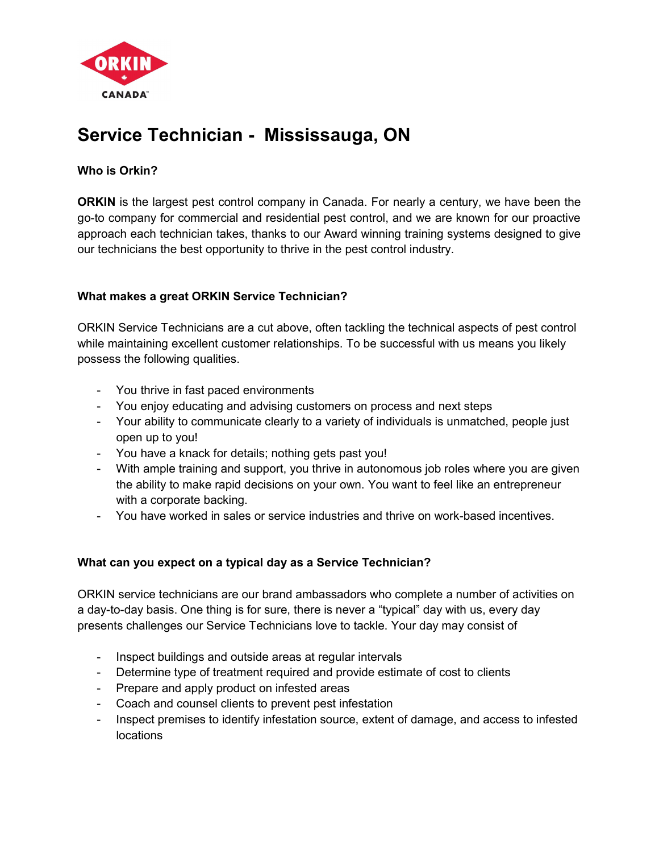

# Service Technician - Mississauga, ON

## Who is Orkin?

**ORKIN** is the largest pest control company in Canada. For nearly a century, we have been the go-to company for commercial and residential pest control, and we are known for our proactive approach each technician takes, thanks to our Award winning training systems designed to give our technicians the best opportunity to thrive in the pest control industry.

## What makes a great ORKIN Service Technician?

ORKIN Service Technicians are a cut above, often tackling the technical aspects of pest control while maintaining excellent customer relationships. To be successful with us means you likely possess the following qualities.

- You thrive in fast paced environments
- You enjoy educating and advising customers on process and next steps
- Your ability to communicate clearly to a variety of individuals is unmatched, people just open up to you!
- You have a knack for details; nothing gets past you!
- With ample training and support, you thrive in autonomous job roles where you are given the ability to make rapid decisions on your own. You want to feel like an entrepreneur with a corporate backing.
- You have worked in sales or service industries and thrive on work-based incentives.

## What can you expect on a typical day as a Service Technician?

ORKIN service technicians are our brand ambassadors who complete a number of activities on a day-to-day basis. One thing is for sure, there is never a "typical" day with us, every day presents challenges our Service Technicians love to tackle. Your day may consist of

- Inspect buildings and outside areas at regular intervals
- Determine type of treatment required and provide estimate of cost to clients
- Prepare and apply product on infested areas
- Coach and counsel clients to prevent pest infestation
- Inspect premises to identify infestation source, extent of damage, and access to infested locations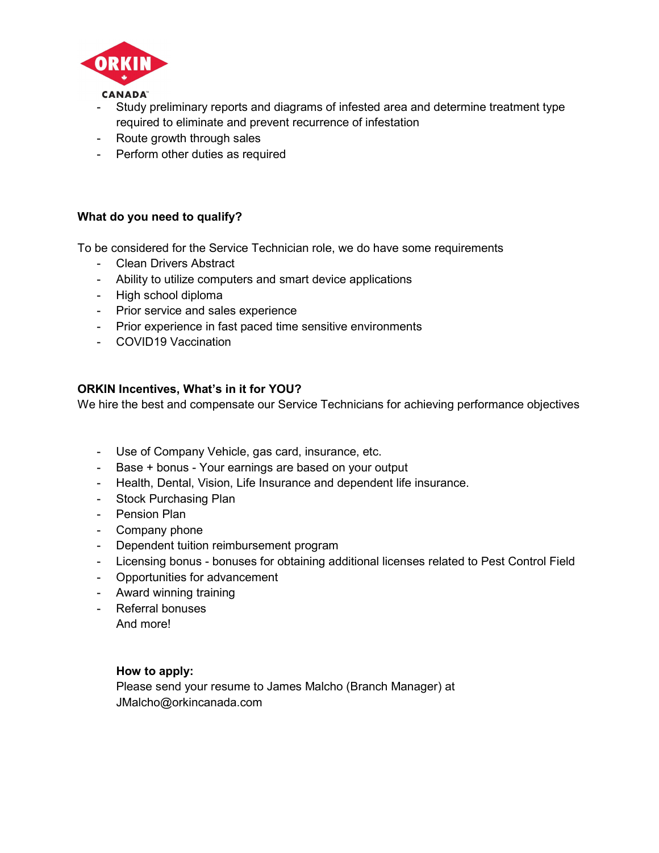

- Study preliminary reports and diagrams of infested area and determine treatment type required to eliminate and prevent recurrence of infestation
- Route growth through sales
- Perform other duties as required

## What do you need to qualify?

To be considered for the Service Technician role, we do have some requirements

- Clean Drivers Abstract
- Ability to utilize computers and smart device applications
- High school diploma
- Prior service and sales experience
- Prior experience in fast paced time sensitive environments
- COVID19 Vaccination

#### ORKIN Incentives, What's in it for YOU?

We hire the best and compensate our Service Technicians for achieving performance objectives

- Use of Company Vehicle, gas card, insurance, etc.
- Base + bonus Your earnings are based on your output
- Health, Dental, Vision, Life Insurance and dependent life insurance.
- Stock Purchasing Plan
- Pension Plan
- Company phone
- Dependent tuition reimbursement program
- Licensing bonus bonuses for obtaining additional licenses related to Pest Control Field
- Opportunities for advancement
- Award winning training
- Referral bonuses

And more!

#### How to apply:

Please send your resume to James Malcho (Branch Manager) at JMalcho@orkincanada.com